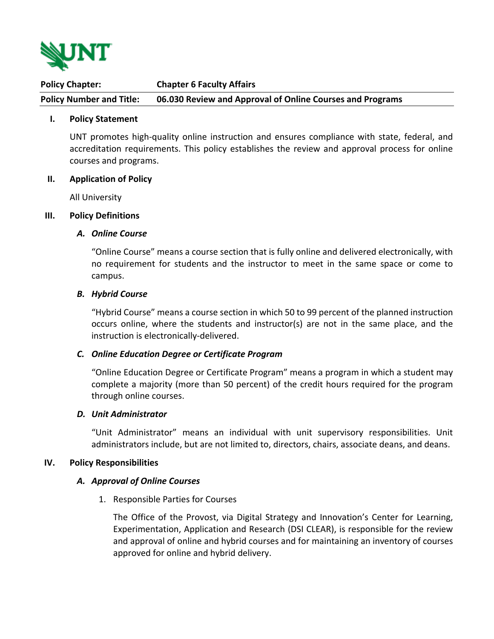

**Policy Chapter: Chapter 6 Faculty Affairs Policy Number and Title: 06.030 Review and Approval of Online Courses and Programs**

## **I. Policy Statement**

UNT promotes high-quality online instruction and ensures compliance with state, federal, and accreditation requirements. This policy establishes the review and approval process for online courses and programs.

#### **II. Application of Policy**

All University

## **III. Policy Definitions**

## *A. Online Course*

"Online Course" means a course section that is fully online and delivered electronically, with no requirement for students and the instructor to meet in the same space or come to campus.

## *B. Hybrid Course*

"Hybrid Course" means a course section in which 50 to 99 percent of the planned instruction occurs online, where the students and instructor(s) are not in the same place, and the instruction is electronically-delivered.

#### *C. Online Education Degree or Certificate Program*

"Online Education Degree or Certificate Program" means a program in which a student may complete a majority (more than 50 percent) of the credit hours required for the program through online courses.

#### *D. Unit Administrator*

"Unit Administrator" means an individual with unit supervisory responsibilities. Unit administrators include, but are not limited to, directors, chairs, associate deans, and deans.

#### **IV. Policy Responsibilities**

#### *A. Approval of Online Courses*

1. Responsible Parties for Courses

The Office of the Provost, via Digital Strategy and Innovation's Center for Learning, Experimentation, Application and Research (DSI CLEAR), is responsible for the review and approval of online and hybrid courses and for maintaining an inventory of courses approved for online and hybrid delivery.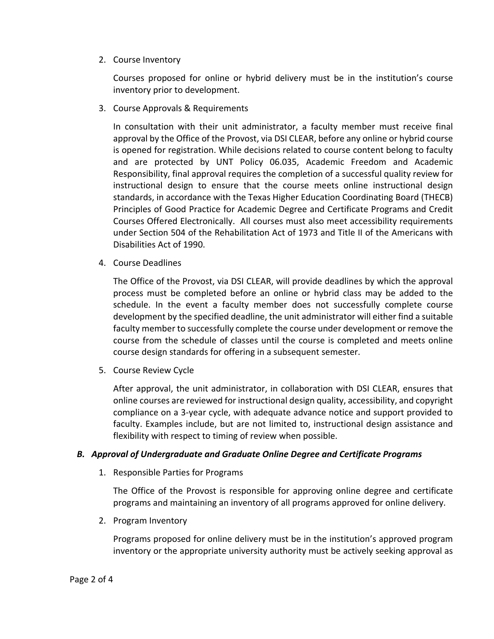2. Course Inventory

Courses proposed for online or hybrid delivery must be in the institution's course inventory prior to development.

3. Course Approvals & Requirements

In consultation with their unit administrator, a faculty member must receive final approval by the Office of the Provost, via DSI CLEAR, before any online or hybrid course is opened for registration. While decisions related to course content belong to faculty and are protected by UNT Policy 06.035, Academic Freedom and Academic Responsibility, final approval requires the completion of a successful quality review for instructional design to ensure that the course meets online instructional design standards, in accordance with the Texas Higher Education Coordinating Board (THECB) Principles of Good Practice for Academic Degree and Certificate Programs and Credit Courses Offered Electronically. All courses must also meet accessibility requirements under Section 504 of the Rehabilitation Act of 1973 and Title II of the Americans with Disabilities Act of 1990.

4. Course Deadlines

The Office of the Provost, via DSI CLEAR, will provide deadlines by which the approval process must be completed before an online or hybrid class may be added to the schedule. In the event a faculty member does not successfully complete course development by the specified deadline, the unit administrator will either find a suitable faculty member to successfully complete the course under development or remove the course from the schedule of classes until the course is completed and meets online course design standards for offering in a subsequent semester.

5. Course Review Cycle

After approval, the unit administrator, in collaboration with DSI CLEAR, ensures that online courses are reviewed for instructional design quality, accessibility, and copyright compliance on a 3-year cycle, with adequate advance notice and support provided to faculty. Examples include, but are not limited to, instructional design assistance and flexibility with respect to timing of review when possible.

# *B. Approval of Undergraduate and Graduate Online Degree and Certificate Programs*

1. Responsible Parties for Programs

The Office of the Provost is responsible for approving online degree and certificate programs and maintaining an inventory of all programs approved for online delivery.

2. Program Inventory

Programs proposed for online delivery must be in the institution's approved program inventory or the appropriate university authority must be actively seeking approval as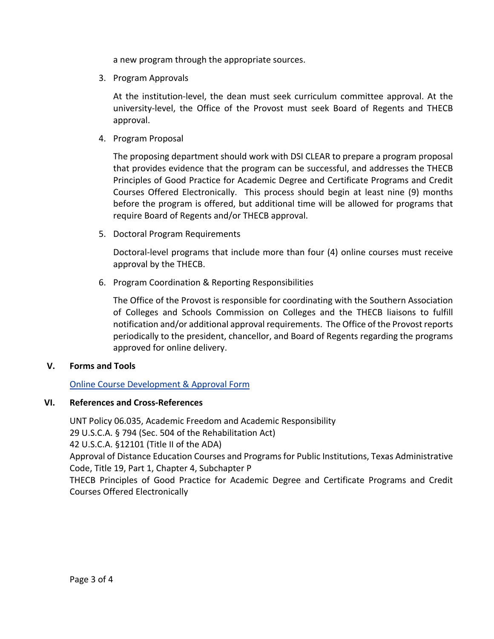a new program through the appropriate sources.

3. Program Approvals

At the institution-level, the dean must seek curriculum committee approval. At the university-level, the Office of the Provost must seek Board of Regents and THECB approval.

4. Program Proposal

The proposing department should work with DSI CLEAR to prepare a program proposal that provides evidence that the program can be successful, and addresses the THECB Principles of Good Practice for Academic Degree and Certificate Programs and Credit Courses Offered Electronically. This process should begin at least nine (9) months before the program is offered, but additional time will be allowed for programs that require Board of Regents and/or THECB approval.

5. Doctoral Program Requirements

Doctoral-level programs that include more than four (4) online courses must receive approval by the THECB.

6. Program Coordination & Reporting Responsibilities

The Office of the Provost is responsible for coordinating with the Southern Association of Colleges and Schools Commission on Colleges and the THECB liaisons to fulfill notification and/or additional approval requirements. The Office of the Provost reports periodically to the president, chancellor, and Board of Regents regarding the programs approved for online delivery.

# **V. Forms and Tools**

[Online Course Development](https://clear.unt.edu/online-course-box-development) & Approval Form

# **VI. References and Cross-References**

UNT Policy 06.035, Academic Freedom and Academic Responsibility 29 U.S.C.A. § 794 (Sec. 504 of the Rehabilitation Act) 42 U.S.C.A. §12101 (Title II of the ADA) Approval of Distance Education Courses and Programs for Public Institutions, Texas Administrative Code, Title 19, Part 1, Chapter 4, Subchapter P THECB Principles of Good Practice for Academic Degree and Certificate Programs and Credit Courses Offered Electronically